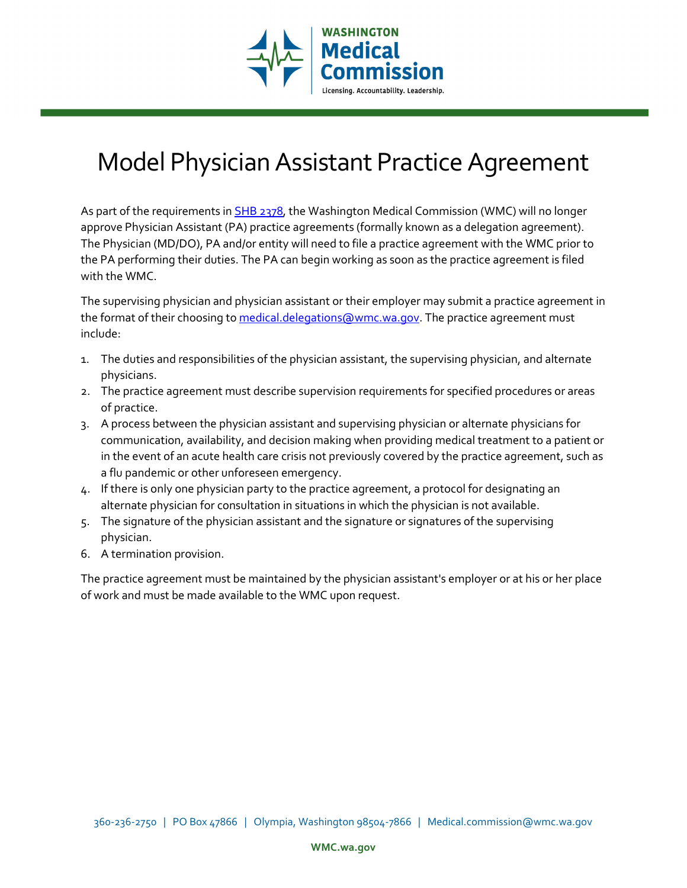

# Model Physician Assistant Practice Agreement

As part of the requirements in **SHB 2378**, the Washington Medical Commission (WMC) will no longer approve Physician Assistant (PA) practice agreements (formally known as a delegation agreement). The Physician (MD/DO), PA and/or entity will need to file a practice agreement with the WMC prior to the PA performing their duties. The PA can begin working as soon as the practice agreement is filed with the WMC.

The supervising physician and physician assistant or their employer may submit a practice agreement in the format of their choosing t[o medical.delegations@wmc.wa.gov.](mailto:medical.delegations@wmc.wa.gov) The practice agreement must include:

- 1. The duties and responsibilities of the physician assistant, the supervising physician, and alternate physicians.
- 2. The practice agreement must describe supervision requirements for specified procedures or areas of practice.
- 3. A process between the physician assistant and supervising physician or alternate physicians for communication, availability, and decision making when providing medical treatment to a patient or in the event of an acute health care crisis not previously covered by the practice agreement, such as a flu pandemic or other unforeseen emergency.
- 4. If there is only one physician party to the practice agreement, a protocol for designating an alternate physician for consultation in situations in which the physician is not available.
- 5. The signature of the physician assistant and the signature or signatures of the supervising physician.
- 6. A termination provision.

The practice agreement must be maintained by the physician assistant's employer or at his or her place of work and must be made available to the WMC upon request.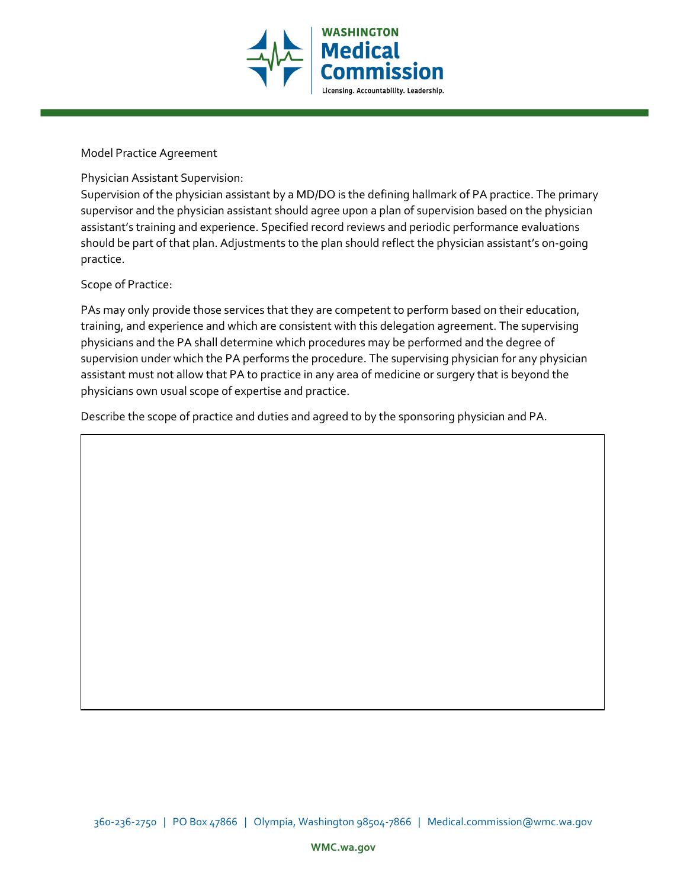

Model Practice Agreement

Physician Assistant Supervision:

Supervision of the physician assistant by a MD/DO is the defining hallmark of PA practice. The primary supervisor and the physician assistant should agree upon a plan of supervision based on the physician assistant's training and experience. Specified record reviews and periodic performance evaluations should be part of that plan. Adjustments to the plan should reflect the physician assistant's on-going practice.

Scope of Practice:

PAs may only provide those services that they are competent to perform based on their education, training, and experience and which are consistent with this delegation agreement. The supervising physicians and the PA shall determine which procedures may be performed and the degree of supervision under which the PA performs the procedure. The supervising physician for any physician assistant must not allow that PA to practice in any area of medicine or surgery that is beyond the physicians own usual scope of expertise and practice.

Describe the scope of practice and duties and agreed to by the sponsoring physician and PA.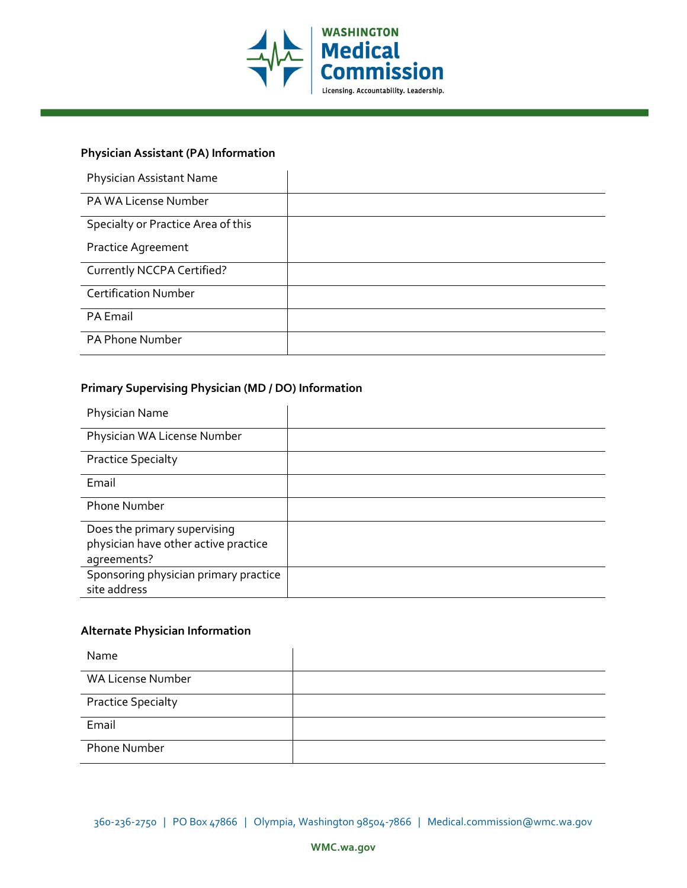

## **Physician Assistant (PA) Information**

| Physician Assistant Name           |  |
|------------------------------------|--|
| PA WA License Number               |  |
| Specialty or Practice Area of this |  |
| <b>Practice Agreement</b>          |  |
| Currently NCCPA Certified?         |  |
| <b>Certification Number</b>        |  |
| PA Email                           |  |
| PA Phone Number                    |  |

## **Primary Supervising Physician (MD / DO) Information**

| Physician Name                        |  |
|---------------------------------------|--|
| Physician WA License Number           |  |
| <b>Practice Specialty</b>             |  |
| Email                                 |  |
| <b>Phone Number</b>                   |  |
| Does the primary supervising          |  |
| physician have other active practice  |  |
| agreements?                           |  |
| Sponsoring physician primary practice |  |
| site address                          |  |

### **Alternate Physician Information**

| Name                      |  |
|---------------------------|--|
| <b>WA License Number</b>  |  |
| <b>Practice Specialty</b> |  |
| Email                     |  |
| Phone Number              |  |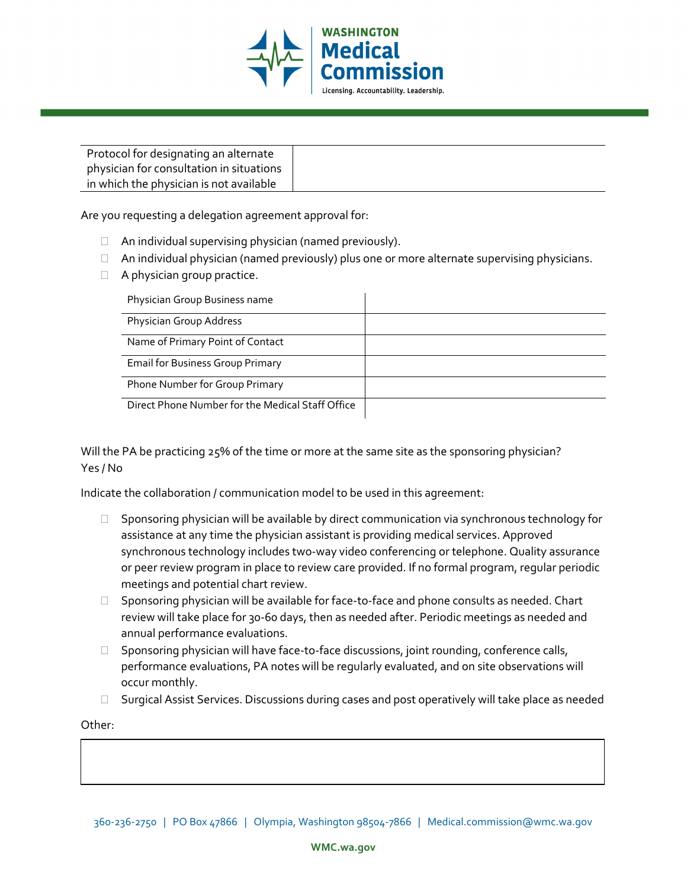

| Protocol for designating an alternate    |  |
|------------------------------------------|--|
| physician for consultation in situations |  |
| in which the physician is not available  |  |

Are you requesting a delegation agreement approval for:

- $\Box$  An individual supervising physician (named previously).
- $\Box$  An individual physician (named previously) plus one or more alternate supervising physicians.
- $\Box$  A physician group practice.

| Physician Group Business name                    |  |
|--------------------------------------------------|--|
| Physician Group Address                          |  |
| Name of Primary Point of Contact                 |  |
| <b>Email for Business Group Primary</b>          |  |
| Phone Number for Group Primary                   |  |
| Direct Phone Number for the Medical Staff Office |  |

Will the PA be practicing 25% of the time or more at the same site as the sponsoring physician? Yes / No

Indicate the collaboration / communication model to be used in this agreement:

- $\Box$  Sponsoring physician will be available by direct communication via synchronous technology for assistance at any time the physician assistant is providing medical services. Approved synchronous technology includes two-way video conferencing or telephone. Quality assurance or peer review program in place to review care provided. If no formal program, regular periodic meetings and potential chart review.
- $\Box$  Sponsoring physician will be available for face-to-face and phone consults as needed. Chart review will take place for 30-60 days, then as needed after. Periodic meetings as needed and annual performance evaluations.
- $\Box$  Sponsoring physician will have face-to-face discussions, joint rounding, conference calls, performance evaluations, PA notes will be regularly evaluated, and on site observations will occur monthly.
- $\square$  Surgical Assist Services. Discussions during cases and post operatively will take place as needed

Other: